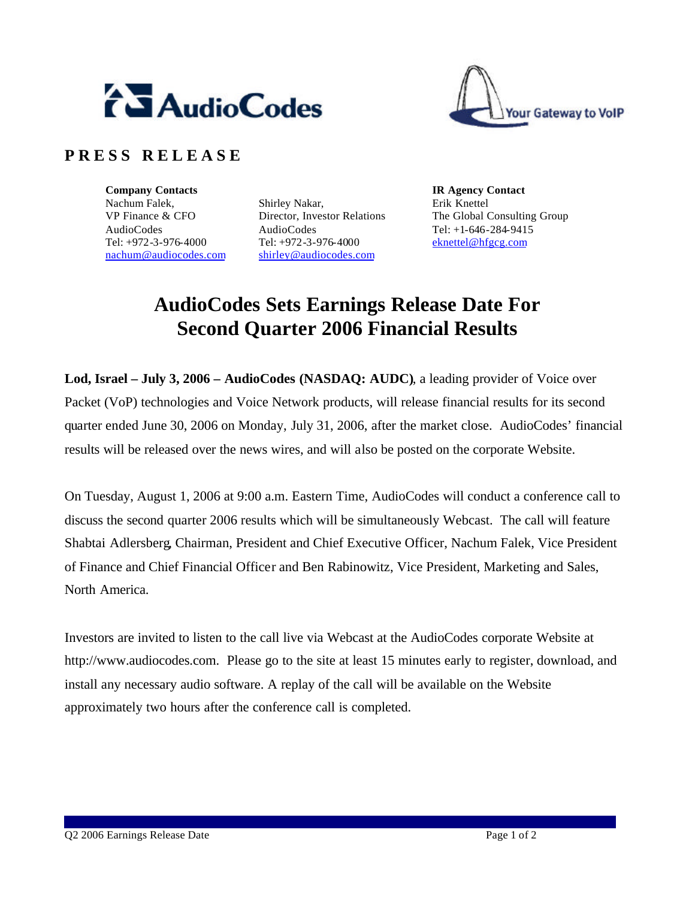



## **P R E S S R E L E A S E**

**Company Contacts IR Agency Contact** Nachum Falek, VP Finance & CFO AudioCodes Tel: +972-3-976-4000 nachum@audiocodes.com

Shirley Nakar, Director, Investor Relations AudioCodes Tel: +972-3-976-4000 shirley@audiocodes.com

Erik Knettel The Global Consulting Group Tel: +1-646-284-9415 eknettel@hfgcg.com

## **AudioCodes Sets Earnings Release Date For Second Quarter 2006 Financial Results**

**Lod, Israel – July 3, 2006 – AudioCodes (NASDAQ: AUDC)**, a leading provider of Voice over Packet (VoP) technologies and Voice Network products, will release financial results for its second quarter ended June 30, 2006 on Monday, July 31, 2006, after the market close. AudioCodes' financial results will be released over the news wires, and will also be posted on the corporate Website.

On Tuesday, August 1, 2006 at 9:00 a.m. Eastern Time, AudioCodes will conduct a conference call to discuss the second quarter 2006 results which will be simultaneously Webcast. The call will feature Shabtai Adlersberg, Chairman, President and Chief Executive Officer, Nachum Falek, Vice President of Finance and Chief Financial Officer and Ben Rabinowitz, Vice President, Marketing and Sales, North America.

Investors are invited to listen to the call live via Webcast at the AudioCodes corporate Website at http://www.audiocodes.com. Please go to the site at least 15 minutes early to register, download, and install any necessary audio software. A replay of the call will be available on the Website approximately two hours after the conference call is completed.